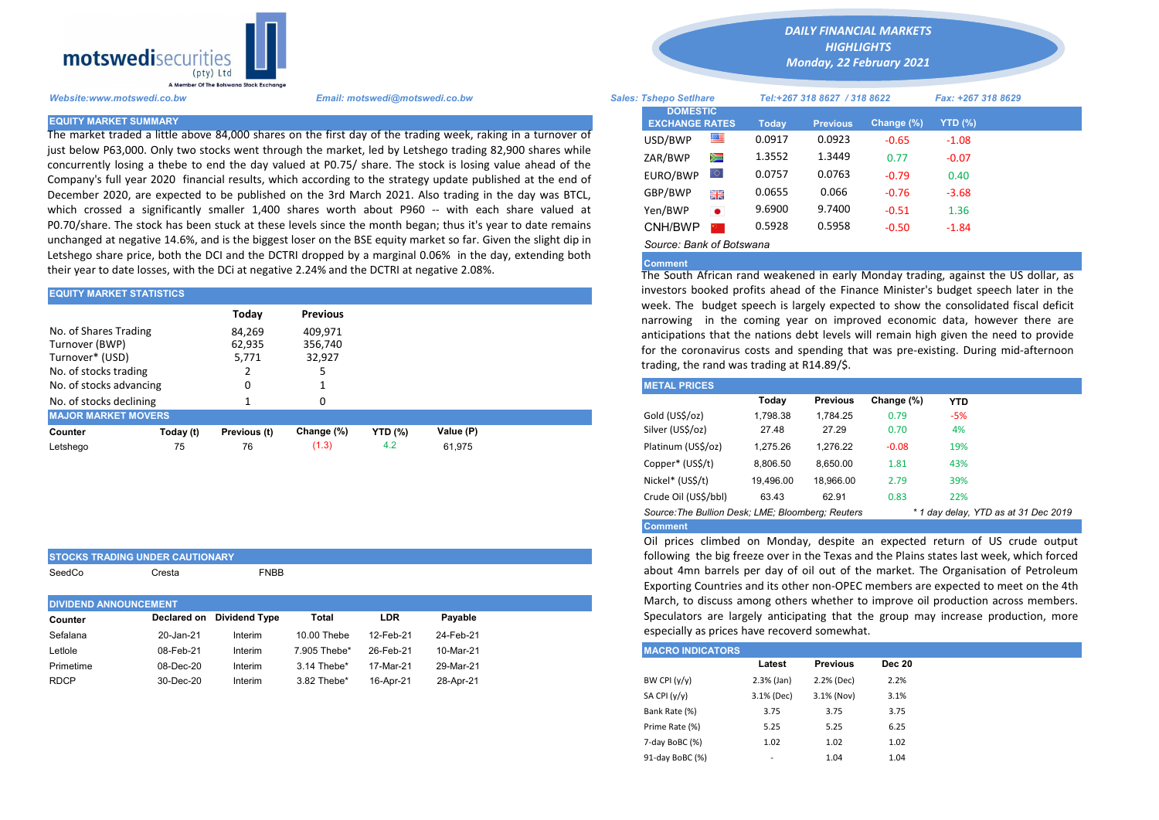

STOCKS TRADING UNDER CAUTIONARY

SeedCo Cresta **FNBB** 

The market traded a little above 84,000 shares on the first day of the trading week, raking in a turnover of just below P63,000. Only two stocks went through the market, led by Letshego trading 82,900 shares while concurrently losing a thebe to end the day valued at P0.75/ share. The stock is losing value ahead of the Company's full year 2020 financial results, which according to the strategy update published at the end of December 2020, are expected to be published on the 3rd March 2021. Also trading in the day was BTCL, which crossed a significantly smaller 1,400 shares worth about P960 -- with each share valued at P0.70/share. The stock has been stuck at these levels since the month began; thus it's year to date remains unchanged at negative 14.6%, and is the biggest loser on the BSE equity market so far. Given the slight dip in Letshego share price, both the DCI and the DCTRI dropped by a marginal 0.06% in the day, extending both their year to date losses, with the DCi at negative 2.24% and the DCTRI at negative 2.08%.

| <b>EQUITY MARKET STATISTICS</b>                                                     |           |                                    |                                                 | investors booked profits ahead of the Finance Minister's budget spe |           |                                                                                                                                                                                                                                                                                                                                   |          |                 |            |            |  |  |
|-------------------------------------------------------------------------------------|-----------|------------------------------------|-------------------------------------------------|---------------------------------------------------------------------|-----------|-----------------------------------------------------------------------------------------------------------------------------------------------------------------------------------------------------------------------------------------------------------------------------------------------------------------------------------|----------|-----------------|------------|------------|--|--|
| No. of Shares Trading<br>Turnover (BWP)<br>Turnover* (USD)<br>No. of stocks trading |           | Today<br>84,269<br>62,935<br>5,771 | <b>Previous</b><br>409,971<br>356,740<br>32,927 |                                                                     |           | week. The budget speech is largely expected to show the consolida<br>narrowing in the coming year on improved economic data, hove<br>anticipations that the nations debt levels will remain high given the<br>for the coronavirus costs and spending that was pre-existing. During<br>trading, the rand was trading at R14.89/\$. |          |                 |            |            |  |  |
| No. of stocks advancing                                                             |           |                                    |                                                 |                                                                     |           | <b>METAL PRICES</b>                                                                                                                                                                                                                                                                                                               |          |                 |            |            |  |  |
| No. of stocks declining                                                             |           |                                    |                                                 |                                                                     |           |                                                                                                                                                                                                                                                                                                                                   | Today    | <b>Previous</b> | Change (%) | <b>YTD</b> |  |  |
| <b>MAJOR MARKET MOVERS</b>                                                          |           |                                    |                                                 |                                                                     |           | Gold (US\$/oz)                                                                                                                                                                                                                                                                                                                    | 1.798.38 | 1.784.25        | 0.79       | $-5%$      |  |  |
| Counter                                                                             | Today (t) | Previous (t)                       | Change (%)                                      | <b>YTD (%)</b>                                                      | Value (P) | Silver (US\$/oz)                                                                                                                                                                                                                                                                                                                  | 27.48    | 27.29           | 0.70       | 4%         |  |  |
| Letshego                                                                            | 75        | 76                                 | (1.3)                                           | 4.2                                                                 | 61,975    | Platinum (US\$/oz)                                                                                                                                                                                                                                                                                                                | 1,275.26 | 1.276.22        | $-0.08$    | 19%        |  |  |
|                                                                                     |           |                                    |                                                 |                                                                     |           | .                                                                                                                                                                                                                                                                                                                                 |          |                 |            |            |  |  |

| <b>DIVIDEND ANNOUNCEMENT</b> |           |                           |              |           |           |  |  |  |
|------------------------------|-----------|---------------------------|--------------|-----------|-----------|--|--|--|
| Counter                      |           | Declared on Dividend Type | Total        | LDR       | Payable   |  |  |  |
| Sefalana                     | 20-Jan-21 | Interim                   | 10.00 Thebe  | 12-Feb-21 | 24-Feb-21 |  |  |  |
| Letlole                      | 08-Feb-21 | Interim                   | 7.905 Thebe* | 26-Feb-21 | 10-Mar-21 |  |  |  |
| Primetime                    | 08-Dec-20 | Interim                   | 3.14 Thebe*  | 17-Mar-21 | 29-Mar-21 |  |  |  |
| <b>RDCP</b>                  | 30-Dec-20 | Interim                   | 3.82 Thebe*  | 16-Apr-21 | 28-Apr-21 |  |  |  |
|                              |           |                           |              |           |           |  |  |  |

*DAILY FINANCIAL MARKETS HIGHLIGHTS*

*Monday, 22 February 2021* 

| A Member Of the Boiswand Slock Exchange |                                                                                                                |                               |                          |        |                              |            |                    |  |  |
|-----------------------------------------|----------------------------------------------------------------------------------------------------------------|-------------------------------|--------------------------|--------|------------------------------|------------|--------------------|--|--|
| Website:www.motswedi.co.bw              | Email: motswedi@motswedi.co.bw                                                                                 | <b>Sales: Tshepo Setlhare</b> |                          |        | Tel:+267 318 8627 / 318 8622 |            | Fax: +267 318 8629 |  |  |
| <b>EQUITY MARKET SUMMARY</b>            | The market traded a little above 84,000 shares on the first day of the trading week, raking in a turnover of   | <b>EXCHANGE RATES</b>         | <b>DOMESTIC</b>          | Today  | <b>Previous</b>              | Change (%) | YTD (%)            |  |  |
|                                         | ust below P63,000. Only two stocks went through the market, led by Letshego trading 82,900 shares while        | USD/BWP                       | ≝                        | 0.0917 | 0.0923                       | $-0.65$    | $-1.08$            |  |  |
|                                         | concurrently losing a thebe to end the day valued at P0.75/ share. The stock is losing value ahead of the      | ZAR/BWP                       | Ň                        | 1.3552 | 1.3449                       | 0.77       | $-0.07$            |  |  |
|                                         | Company's full year 2020 financial results, which according to the strategy update published at the end of     | EURO/BWP                      | LQ.                      | 0.0757 | 0.0763                       | $-0.79$    | 0.40               |  |  |
|                                         | December 2020, are expected to be published on the 3rd March 2021. Also trading in the day was BTCL,           | GBP/BWP                       | 開幕                       | 0.0655 | 0.066                        | $-0.76$    | $-3.68$            |  |  |
|                                         | which crossed a significantly smaller 1,400 shares worth about P960 -- with each share valued at               | Yen/BWP                       | $\bullet$                | 9.6900 | 9.7400                       | $-0.51$    | 1.36               |  |  |
|                                         | 20.70/share. The stock has been stuck at these levels since the month began; thus it's year to date remains    | CNH/BWP                       |                          | 0.5928 | 0.5958                       | $-0.50$    | $-1.84$            |  |  |
|                                         | unchanged at negative 14.6%, and is the biggest loser on the BSE equity market so far. Given the slight dip in |                               | Source: Bank of Botswana |        |                              |            |                    |  |  |

## Comment

The South African rand weakened in early Monday trading, against the US dollar, as investors booked profits ahead of the Finance Minister's budget speech later in the week. The budget speech is largely expected to show the consolidated fiscal deficit narrowing in the coming year on improved economic data, however there are anticipations that the nations debt levels will remain high given the need to provide for the coronavirus costs and spending that was pre-existing. During mid-afternoon trading, the rand was trading at R14.89/\$.

| <b>METAL PRICES</b>                                                                       |           |                 |            |            |  |  |  |  |  |  |
|-------------------------------------------------------------------------------------------|-----------|-----------------|------------|------------|--|--|--|--|--|--|
|                                                                                           | Today     | <b>Previous</b> | Change (%) | <b>YTD</b> |  |  |  |  |  |  |
| Gold (US\$/oz)                                                                            | 1.798.38  | 1.784.25        | 0.79       | $-5%$      |  |  |  |  |  |  |
| Silver (US\$/oz)                                                                          | 27.48     | 27.29           | 0.70       | 4%         |  |  |  |  |  |  |
| Platinum (US\$/oz)                                                                        | 1.275.26  | 1.276.22        | $-0.08$    | 19%        |  |  |  |  |  |  |
| Copper* (US\$/t)                                                                          | 8,806.50  | 8.650.00        | 1.81       | 43%        |  |  |  |  |  |  |
| Nickel* (US\$/t)                                                                          | 19.496.00 | 18.966.00       | 2.79       | 39%        |  |  |  |  |  |  |
| Crude Oil (US\$/bbl)                                                                      | 63.43     | 62.91           | 0.83       | 22%        |  |  |  |  |  |  |
| Source: The Bullion Desk; LME; Bloomberg: Reuters<br>* 1 day delay, YTD as at 31 Dec 2019 |           |                 |            |            |  |  |  |  |  |  |
| <b>Comment</b>                                                                            |           |                 |            |            |  |  |  |  |  |  |

Oil prices climbed on Monday, despite an expected return of US crude output following the big freeze over in the Texas and the Plains states last week, which forced about 4mn barrels per day of oil out of the market. The Organisation of Petroleum Exporting Countries and its other non-OPEC members are expected to meet on the 4th March, to discuss among others whether to improve oil production across members. Speculators are largely anticipating that the group may increase production, more especially as prices have recoverd somewhat.

| <b>MACRO INDICATORS</b> |              |                 |               |
|-------------------------|--------------|-----------------|---------------|
|                         | Latest       | <b>Previous</b> | <b>Dec 20</b> |
| BW CPI $(y/y)$          | $2.3%$ (Jan) | 2.2% (Dec)      | 2.2%          |
| SA CPI (y/y)            | 3.1% (Dec)   | 3.1% (Nov)      | 3.1%          |
| Bank Rate (%)           | 3.75         | 3.75            | 3.75          |
| Prime Rate (%)          | 5.25         | 5.25            | 6.25          |
| 7-day BoBC (%)          | 1.02         | 1.02            | 1.02          |
| 91-day BoBC (%)         | -            | 1.04            | 1.04          |